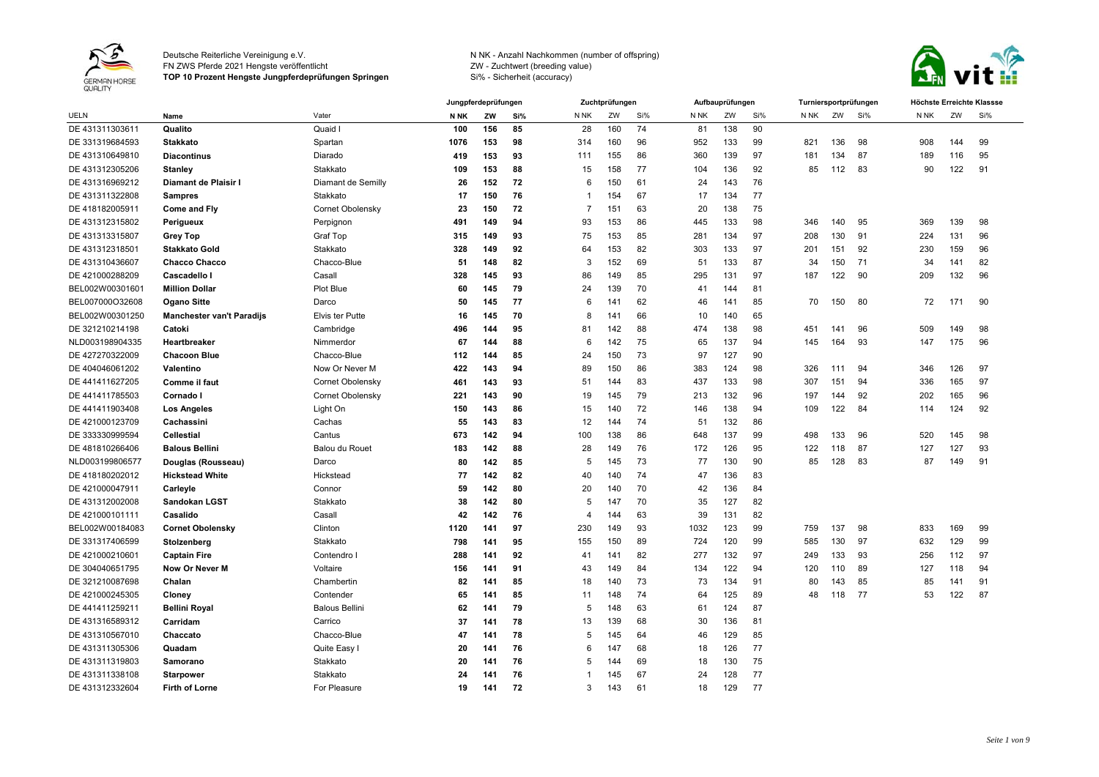

FN ZWS Pferde 2021 Hengste veröffentlicht

**TOP 10 Prozent Hengste Jungpferdeprüfungen Springen**



|                 |                                  |                         |                 | Jungpferdeprüfungen |     |                          | Zuchtprüfungen |     |      | Aufbauprüfungen |     | Turniersportprüfungen |     |     | Höchste Erreichte Klassse |     |     |
|-----------------|----------------------------------|-------------------------|-----------------|---------------------|-----|--------------------------|----------------|-----|------|-----------------|-----|-----------------------|-----|-----|---------------------------|-----|-----|
| <b>UELN</b>     | Name                             | Vater                   | N <sub>NK</sub> | ZW                  | Si% | N <sub>NK</sub>          | ZW             | Si% | N NK | ZW              | Si% | N NK                  | ZW  | Si% | N NK                      | ZW  | Si% |
| DE 431311303611 | Qualito                          | Quaid I                 | 100             | 156                 | 85  | 28                       | 160            | 74  | 81   | 138             | 90  |                       |     |     |                           |     |     |
| DE 331319684593 | <b>Stakkato</b>                  | Spartan                 | 1076            | 153                 | 98  | 314                      | 160            | 96  | 952  | 133             | 99  | 821                   | 136 | 98  | 908                       | 144 | 99  |
| DE 431310649810 | <b>Diacontinus</b>               | Diarado                 | 419             | 153                 | 93  | 111                      | 155            | 86  | 360  | 139             | 97  | 181                   | 134 | 87  | 189                       | 116 | 95  |
| DE 431312305206 | Stanley                          | Stakkato                | 109             | 153                 | 88  | 15                       | 158            | 77  | 104  | 136             | 92  | 85                    | 112 | 83  | 90                        | 122 | 91  |
| DE 431316969212 | Diamant de Plaisir I             | Diamant de Semilly      | 26              | 152                 | 72  | 6                        | 150            | 61  | 24   | 143             | 76  |                       |     |     |                           |     |     |
| DE 431311322808 | <b>Sampres</b>                   | Stakkato                | 17              | 150                 | 76  |                          | 154            | 67  | 17   | 134             | 77  |                       |     |     |                           |     |     |
| DE 418182005911 | <b>Come and Fly</b>              | Cornet Obolensky        | 23              | 150                 | 72  | 7                        | 151            | 63  | 20   | 138             | 75  |                       |     |     |                           |     |     |
| DE 431312315802 | Perigueux                        | Perpignon               | 491             | 149                 | 94  | 93                       | 153            | 86  | 445  | 133             | 98  | 346                   | 140 | 95  | 369                       | 139 | 98  |
| DE 431313315807 | <b>Grey Top</b>                  | Graf Top                | 315             | 149                 | 93  | 75                       | 153            | 85  | 281  | 134             | 97  | 208                   | 130 | 91  | 224                       | 131 | 96  |
| DE 431312318501 | <b>Stakkato Gold</b>             | Stakkato                | 328             | 149                 | 92  | 64                       | 153            | 82  | 303  | 133             | 97  | 201                   | 151 | 92  | 230                       | 159 | 96  |
| DE 431310436607 | <b>Chacco Chacco</b>             | Chacco-Blue             | 51              | 148                 | 82  | 3                        | 152            | 69  | 51   | 133             | 87  | 34                    | 150 | 71  | 34                        | 141 | 82  |
| DE 421000288209 | Cascadello I                     | Casall                  | 328             | 145                 | 93  | 86                       | 149            | 85  | 295  | 131             | 97  | 187                   | 122 | 90  | 209                       | 132 | 96  |
| BEL002W00301601 | <b>Million Dollar</b>            | <b>Plot Blue</b>        | 60              | 145                 | 79  | 24                       | 139            | 70  | 41   | 144             | 81  |                       |     |     |                           |     |     |
| BEL007000O32608 | <b>Ogano Sitte</b>               | Darco                   | 50              | 145                 | 77  | 6                        | 141            | 62  | 46   | 141             | 85  | 70                    | 150 | 80  | 72                        | 171 | 90  |
| BEL002W00301250 | <b>Manchester van't Paradijs</b> | Elvis ter Putte         | 16              | 145                 | 70  | 8                        | 141            | 66  | 10   | 140             | 65  |                       |     |     |                           |     |     |
| DE 321210214198 | Catoki                           | Cambridge               | 496             | 144                 | 95  | 81                       | 142            | 88  | 474  | 138             | 98  | 451                   | 141 | 96  | 509                       | 149 | 98  |
| NLD003198904335 | Heartbreaker                     | Nimmerdor               | 67              | 144                 | 88  | 6                        | 142            | 75  | 65   | 137             | 94  | 145                   | 164 | 93  | 147                       | 175 | 96  |
| DE 427270322009 | <b>Chacoon Blue</b>              | Chacco-Blue             | 112             | 144                 | 85  | 24                       | 150            | 73  | 97   | 127             | 90  |                       |     |     |                           |     |     |
| DE 404046061202 | Valentino                        | Now Or Never M          | 422             | 143                 | 94  | 89                       | 150            | 86  | 383  | 124             | 98  | 326                   | 111 | 94  | 346                       | 126 | 97  |
| DE 441411627205 | Comme il faut                    | Cornet Obolensky        | 461             | 143                 | 93  | 51                       | 144            | 83  | 437  | 133             | 98  | 307                   | 151 | 94  | 336                       | 165 | 97  |
| DE 441411785503 | Cornado I                        | <b>Cornet Obolensky</b> | 221             | 143                 | 90  | 19                       | 145            | 79  | 213  | 132             | 96  | 197                   | 144 | 92  | 202                       | 165 | 96  |
| DE 441411903408 | <b>Los Angeles</b>               | Light On                | 150             | 143                 | 86  | 15                       | 140            | 72  | 146  | 138             | 94  | 109                   | 122 | 84  | 114                       | 124 | 92  |
| DE 421000123709 | Cachassini                       | Cachas                  | 55              | 143                 | 83  | 12                       | 144            | 74  | 51   | 132             | 86  |                       |     |     |                           |     |     |
| DE 333330999594 | <b>Cellestial</b>                | Cantus                  | 673             | 142                 | 94  | 100                      | 138            | 86  | 648  | 137             | 99  | 498                   | 133 | 96  | 520                       | 145 | 98  |
| DE 481810266406 | <b>Balous Bellini</b>            | Balou du Rouet          | 183             | 142                 | 88  | 28                       | 149            | 76  | 172  | 126             | 95  | 122                   | 118 | 87  | 127                       | 127 | 93  |
| NLD003199806577 | Douglas (Rousseau)               | Darco                   | 80              | 142                 | 85  | 5                        | 145            | 73  | 77   | 130             | 90  | 85                    | 128 | 83  | 87                        | 149 | 91  |
| DE 418180202012 | <b>Hickstead White</b>           | Hickstead               | 77              | 142                 | 82  | 40                       | 140            | 74  | 47   | 136             | 83  |                       |     |     |                           |     |     |
| DE 421000047911 | Carleyle                         | Connor                  | 59              | 142                 | 80  | 20                       | 140            | 70  | 42   | 136             | 84  |                       |     |     |                           |     |     |
| DE 431312002008 | Sandokan LGST                    | Stakkato                | 38              | 142                 | 80  | 5                        | 147            | 70  | 35   | 127             | 82  |                       |     |     |                           |     |     |
| DE 421000101111 | Casalido                         | Casall                  | 42              | 142                 | 76  | $\overline{\mathcal{L}}$ | 144            | 63  | 39   | 131             | 82  |                       |     |     |                           |     |     |
| BEL002W00184083 | <b>Cornet Obolensky</b>          | Clinton                 | 1120            | 141                 | 97  | 230                      | 149            | 93  | 1032 | 123             | 99  | 759                   | 137 | 98  | 833                       | 169 | 99  |
| DE 331317406599 | Stolzenberg                      | Stakkato                | 798             | 141                 | 95  | 155                      | 150            | 89  | 724  | 120             | 99  | 585                   | 130 | 97  | 632                       | 129 | 99  |
| DE 421000210601 | <b>Captain Fire</b>              | Contendro I             | 288             | 141                 | 92  | 41                       | 141            | 82  | 277  | 132             | 97  | 249                   | 133 | 93  | 256                       | 112 | 97  |
| DE 304040651795 | Now Or Never M                   | Voltaire                | 156             | 141                 | 91  | 43                       | 149            | 84  | 134  | 122             | 94  | 120                   | 110 | 89  | 127                       | 118 | 94  |
| DE 321210087698 | Chalan                           | Chambertin              | 82              | 141                 | 85  | 18                       | 140            | 73  | 73   | 134             | 91  | 80                    | 143 | 85  | 85                        | 141 | 91  |
| DE 421000245305 | Cloney                           | Contender               | 65              | 141                 | 85  | 11                       | 148            | 74  | 64   | 125             | 89  | 48                    | 118 | 77  | 53                        | 122 | 87  |
| DE 441411259211 | <b>Bellini Royal</b>             | <b>Balous Bellini</b>   | 62              | 141                 | 79  | 5                        | 148            | 63  | 61   | 124             | 87  |                       |     |     |                           |     |     |
| DE 431316589312 | Carridam                         | Carrico                 | 37              | 141                 | 78  | 13                       | 139            | 68  | 30   | 136             | 81  |                       |     |     |                           |     |     |
| DE 431310567010 | Chaccato                         | Chacco-Blue             | 47              | 141                 | 78  | 5                        | 145            | 64  | 46   | 129             | 85  |                       |     |     |                           |     |     |
| DE 431311305306 | Quadam                           | Quite Easy I            | 20              | 141                 | 76  | 6                        | 147            | 68  | 18   | 126             | 77  |                       |     |     |                           |     |     |
| DE 431311319803 | Samorano                         | Stakkato                | 20              | 141                 | 76  | 5                        | 144            | 69  | 18   | 130             | 75  |                       |     |     |                           |     |     |
| DE 431311338108 | <b>Starpower</b>                 | Stakkato                | 24              | 141                 | 76  |                          | 145            | 67  | 24   | 128             | 77  |                       |     |     |                           |     |     |
| DE 431312332604 | <b>Firth of Lorne</b>            | For Pleasure            | 19              | 141                 | 72  | 3                        | 143            | 61  | 18   | 129             | 77  |                       |     |     |                           |     |     |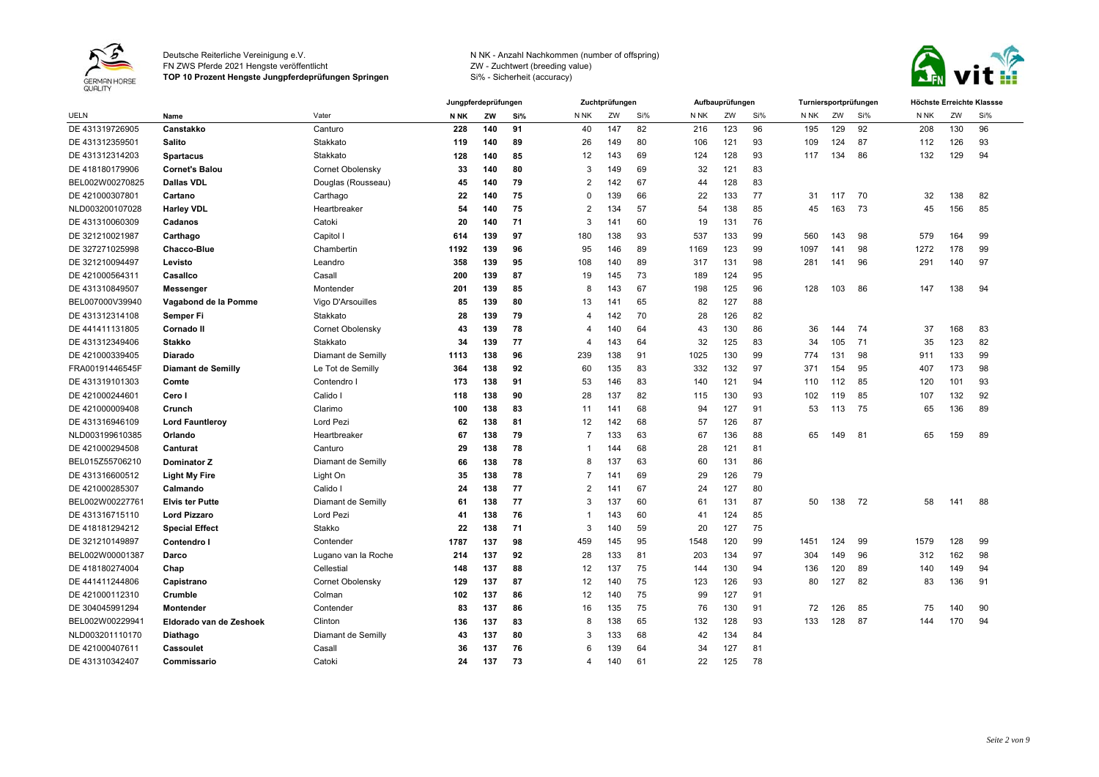

FN ZWS Pferde 2021 Hengste veröffentlicht

**TOP 10 Prozent Hengste Jungpferdeprüfungen Springen**



|                 |                         |                     |             | Jungpferdeprüfungen |     |                | Zuchtprüfungen  |     |      | Aufbauprüfungen |     |      |     | Turniersportprüfungen | Höchste Erreichte Klassse |     |     |
|-----------------|-------------------------|---------------------|-------------|---------------------|-----|----------------|-----------------|-----|------|-----------------|-----|------|-----|-----------------------|---------------------------|-----|-----|
| <b>UELN</b>     | Name                    | Vater               | <b>N NK</b> | ZW                  | Si% | N NK           | ZW              | Si% | N NK | ZW              | Si% | N NK | ZW  | Si%                   | N NK                      | ZW  | Si% |
| DE 431319726905 | Canstakko               | Canturo             | 228         | 140                 | 91  | 40             | 147             | 82  | 216  | 123             | 96  | 195  | 129 | 92                    | 208                       | 130 | 96  |
| DE 431312359501 | <b>Salito</b>           | Stakkato            | 119         | 140                 | 89  | 26             | 149             | 80  | 106  | 121             | 93  | 109  | 124 | 87                    | 112                       | 126 | 93  |
| DE 431312314203 | <b>Spartacus</b>        | Stakkato            | 128         | 140                 | 85  | 12             | 143             | 69  | 124  | 128             | 93  | 117  | 134 | 86                    | 132                       | 129 | 94  |
| DE 418180179906 | <b>Cornet's Balou</b>   | Cornet Obolensky    | 33          | 140                 | 80  | 3              | 149             | 69  | 32   | 121             | 83  |      |     |                       |                           |     |     |
| BEL002W00270825 | <b>Dallas VDL</b>       | Douglas (Rousseau)  | 45          | 140                 | 79  | 2              | 142             | 67  | 44   | 128             | 83  |      |     |                       |                           |     |     |
| DE 421000307801 | Cartano                 | Carthago            | 22          | 140                 | 75  | $\Omega$       | 139             | 66  | 22   | 133             | 77  | 31   | 117 | 70                    | 32                        | 138 | 82  |
| NLD003200107028 | <b>Harley VDL</b>       | Heartbreaker        | 54          | 140                 | 75  | $\overline{2}$ | 134             | 57  | 54   | 138             | 85  | 45   | 163 | 73                    | 45                        | 156 | 85  |
| DE 431310060309 | Cadanos                 | Catoki              | 20          | 140                 | 71  | 3              | 14 <sup>1</sup> | 60  | 19   | 131             | 76  |      |     |                       |                           |     |     |
| DE 321210021987 | Carthago                | Capitol I           | 614         | 139                 | 97  | 180            | 138             | 93  | 537  | 133             | 99  | 560  | 143 | 98                    | 579                       | 164 | 99  |
| DE 327271025998 | <b>Chacco-Blue</b>      | Chambertin          | 1192        | 139                 | 96  | 95             | 146             | 89  | 1169 | 123             | 99  | 1097 | 141 | 98                    | 1272                      | 178 | 99  |
| DE 321210094497 | Levisto                 | Leandro             | 358         | 139                 | 95  | 108            | 140             | 89  | 317  | 131             | 98  | 281  | 141 | 96                    | 291                       | 140 | 97  |
| DE 421000564311 | Casallco                | Casall              | 200         | 139                 | 87  | 19             | 145             | 73  | 189  | 124             | 95  |      |     |                       |                           |     |     |
| DE 431310849507 | Messenger               | Montender           | 201         | 139                 | 85  | -8             | 143             | 67  | 198  | 125             | 96  | 128  | 103 | 86                    | 147                       | 138 | 94  |
| BEL007000V39940 | Vagabond de la Pomme    | Vigo D'Arsouilles   | 85          | 139                 | 80  | 13             | 14 <sup>′</sup> | 65  | 82   | 127             | 88  |      |     |                       |                           |     |     |
| DE 431312314108 | Semper Fi               | Stakkato            | 28          | 139                 | 79  | 4              | 142             | 70  | 28   | 126             | 82  |      |     |                       |                           |     |     |
| DE 441411131805 | Cornado II              | Cornet Obolensky    | 43          | 139                 | 78  | 4              | 140             | 64  | 43   | 130             | 86  | 36   | 144 | 74                    | 37                        | 168 | 83  |
| DE 431312349406 | <b>Stakko</b>           | Stakkato            | 34          | 139                 | 77  | 4              | 143             | 64  | 32   | 125             | 83  | 34   | 105 | 71                    | 35                        | 123 | 82  |
| DE 421000339405 | Diarado                 | Diamant de Semilly  | 1113        | 138                 | 96  | 239            | 138             | 91  | 1025 | 130             | 99  | 774  | 131 | 98                    | 911                       | 133 | 99  |
| FRA00191446545F | Diamant de Semilly      | Le Tot de Semilly   | 364         | 138                 | 92  | 60             | 135             | 83  | 332  | 132             | 97  | 371  | 154 | 95                    | 407                       | 173 | 98  |
| DE 431319101303 | Comte                   | Contendro I         | 173         | 138                 | 91  | 53             | 146             | 83  | 140  | 121             | 94  | 110  | 112 | 85                    | 120                       | 101 | 93  |
| DE 421000244601 | Cero I                  | Calido I            | 118         | 138                 | 90  | 28             | 137             | 82  | 115  | 130             | 93  | 102  | 119 | 85                    | 107                       | 132 | 92  |
| DE 421000009408 | Crunch                  | Clarimo             | 100         | 138                 | 83  | 11             | 141             | 68  | 94   | 127             | 91  | 53   | 113 | 75                    | 65                        | 136 | 89  |
| DE 431316946109 | <b>Lord Fauntleroy</b>  | Lord Pezi           | 62          | 138                 | 81  | 12             | 142             | 68  | 57   | 126             | 87  |      |     |                       |                           |     |     |
| NLD003199610385 | Orlando                 | Heartbreaker        | 67          | 138                 | 79  | $\overline{7}$ | 133             | 63  | 67   | 136             | 88  | 65   | 149 | 81                    | 65                        | 159 | 89  |
| DE 421000294508 | Canturat                | Canturo             | 29          | 138                 | 78  | -1             | 144             | 68  | 28   | 121             | 81  |      |     |                       |                           |     |     |
| BEL015Z55706210 | <b>Dominator Z</b>      | Diamant de Semilly  | 66          | 138                 | 78  | 8              | 137             | 63  | 60   | 131             | 86  |      |     |                       |                           |     |     |
| DE 431316600512 | <b>Light My Fire</b>    | Light On            | 35          | 138                 | 78  | 7              | 141             | 69  | 29   | 126             | 79  |      |     |                       |                           |     |     |
| DE 421000285307 | Calmando                | Calido I            | 24          | 138                 | 77  | $\overline{2}$ | 14 <sup>′</sup> | 67  | 24   | 127             | 80  |      |     |                       |                           |     |     |
| BEL002W0022776  | <b>Elvis ter Putte</b>  | Diamant de Semilly  | 61          | 138                 | 77  | 3              | 137             | 60  | 61   | 131             | 87  | 50   | 138 | 72                    | 58                        | 141 | 88  |
| DE 431316715110 | <b>Lord Pizzaro</b>     | Lord Pezi           | 41          | 138                 | 76  | -1             | 143             | 60  | 41   | 124             | 85  |      |     |                       |                           |     |     |
| DE 418181294212 | <b>Special Effect</b>   | Stakko              | 22          | 138                 | 71  | 3              | 140             | 59  | 20   | 127             | 75  |      |     |                       |                           |     |     |
| DE 321210149897 | Contendro I             | Contender           | 1787        | 137                 | 98  | 459            | 145             | 95  | 1548 | 120             | 99  | 1451 | 124 | 99                    | 1579                      | 128 | 99  |
| BEL002W00001387 | Darco                   | Lugano van la Roche | 214         | 137                 | 92  | 28             | 133             | 81  | 203  | 134             | 97  | 304  | 149 | 96                    | 312                       | 162 | 98  |
| DE 418180274004 | Chap                    | Cellestial          | 148         | 137                 | 88  | 12             | 137             | 75  | 144  | 130             | 94  | 136  | 120 | 89                    | 140                       | 149 | 94  |
| DE 441411244806 | Capistrano              | Cornet Obolensky    | 129         | 137                 | 87  | 12             | 140             | 75  | 123  | 126             | 93  | 80   | 127 | 82                    | 83                        | 136 | 91  |
| DE 421000112310 | Crumble                 | Colman              | 102         | 137                 | 86  | 12             | 140             | 75  | 99   | 127             | 91  |      |     |                       |                           |     |     |
| DE 304045991294 | Montender               | Contender           | 83          | 137                 | 86  | 16             | 135             | 75  | 76   | 130             | 91  | 72   | 126 | 85                    | 75                        | 140 | 90  |
| BEL002W00229941 | Eldorado van de Zeshoek | Clinton             | 136         | 137                 | 83  | 8              | 138             | 65  | 132  | 128             | 93  | 133  | 128 | 87                    | 144                       | 170 | 94  |
| NLD003201110170 | Diathago                | Diamant de Semilly  | 43          | 137                 | 80  | 3              | 133             | 68  | 42   | 134             | 84  |      |     |                       |                           |     |     |
| DE 421000407611 | Cassoulet               | Casall              | 36          | 137                 | 76  | 6              | 139             | 64  | 34   | 127             | 81  |      |     |                       |                           |     |     |
| DE 431310342407 | Commissario             | Catoki              | 24          | 137                 | 73  | 4              | 140             | 61  | 22   | 125             | 78  |      |     |                       |                           |     |     |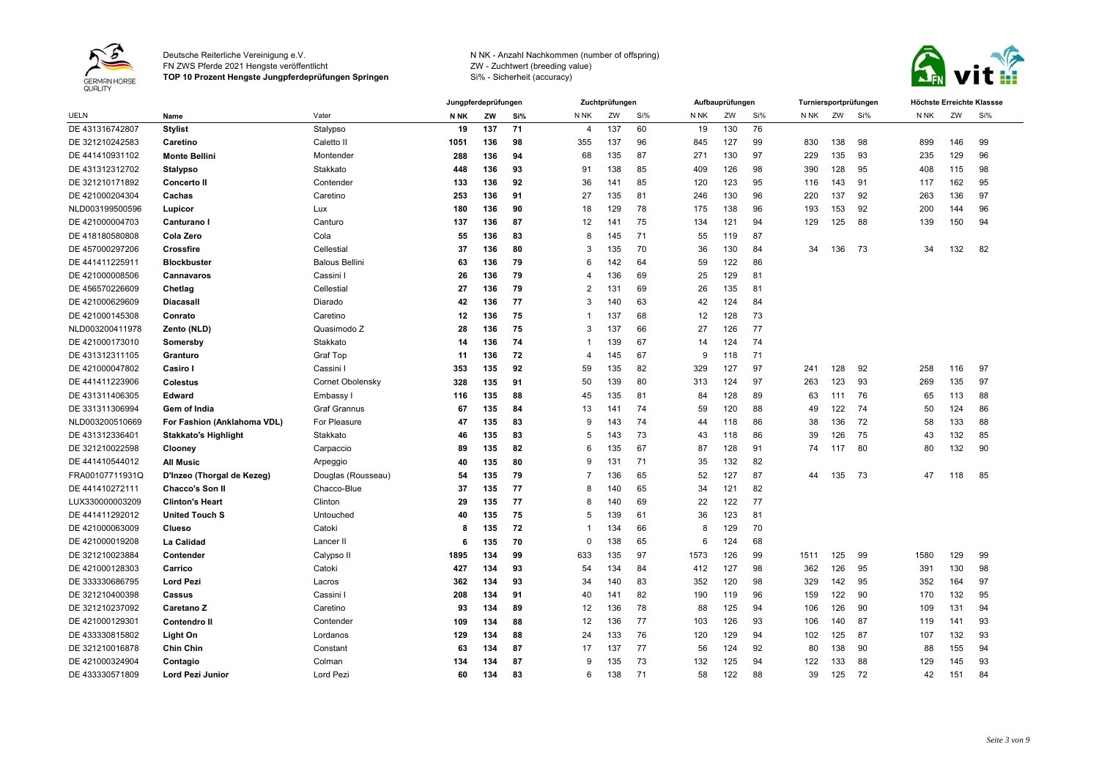

FN ZWS Pferde 2021 Hengste veröffentlicht

**TOP 10 Prozent Hengste Jungpferdeprüfungen Springen**



|                 |                             |                       |      | Jungpferdeprüfungen |     |          | Zuchtprüfungen |     |      | Aufbauprüfungen |     |      |     | Turniersportprüfungen | Höchste Erreichte Klassse |     |     |
|-----------------|-----------------------------|-----------------------|------|---------------------|-----|----------|----------------|-----|------|-----------------|-----|------|-----|-----------------------|---------------------------|-----|-----|
| <b>UELN</b>     | Name                        | Vater                 | N NK | ZW                  | Si% | N NK     | ZW             | Si% | N NK | ZW              | Si% | N NK | ZW  | Si%                   | N <sub>NK</sub>           | ZW  | Si% |
| DE 431316742807 | <b>Stylist</b>              | Stalypso              | 19   | 137                 | 71  | 4        | 137            | 60  | 19   | 130             | 76  |      |     |                       |                           |     |     |
| DE 321210242583 | Caretino                    | Caletto II            | 1051 | 136                 | 98  | 355      | 137            | 96  | 845  | 127             | 99  | 830  | 138 | 98                    | 899                       | 146 | 99  |
| DE 441410931102 | <b>Monte Bellini</b>        | Montender             | 288  | 136                 | 94  | 68       | 135            | 87  | 271  | 130             | 97  | 229  | 135 | 93                    | 235                       | 129 | 96  |
| DE 431312312702 | <b>Stalypso</b>             | Stakkato              | 448  | 136                 | 93  | 91       | 138            | 85  | 409  | 126             | 98  | 390  | 128 | 95                    | 408                       | 115 | 98  |
| DE 321210171892 | <b>Concerto II</b>          | Contender             | 133  | 136                 | 92  | 36       | 141            | 85  | 120  | 123             | 95  | 116  | 143 | 91                    | 117                       | 162 | 95  |
| DE 421000204304 | Cachas                      | Caretino              | 253  | 136                 | 91  | 27       | 135            | 81  | 246  | 130             | 96  | 220  | 137 | 92                    | 263                       | 136 | 97  |
| NLD003199500596 | Lupicor                     | Lux                   | 180  | 136                 | 90  | 18       | 129            | 78  | 175  | 138             | 96  | 193  | 153 | 92                    | 200                       | 144 | 96  |
| DE 421000004703 | Canturano I                 | Canturo               | 137  | 136                 | 87  | 12       | 141            | 75  | 134  | 121             | 94  | 129  | 125 | 88                    | 139                       | 150 | 94  |
| DE 418180580808 | Cola Zero                   | Cola                  | 55   | 136                 | 83  | 8        | 145            | 71  | 55   | 119             | 87  |      |     |                       |                           |     |     |
| DE 457000297206 | Crossfire                   | Cellestial            | 37   | 136                 | 80  | 3        | 135            | 70  | 36   | 130             | 84  | 34   | 136 | 73                    | 34                        | 132 | 82  |
| DE 441411225911 | <b>Blockbuster</b>          | <b>Balous Bellini</b> | 63   | 136                 | 79  | 6        | 142            | 64  | 59   | 122             | 86  |      |     |                       |                           |     |     |
| DE 421000008506 | Cannavaros                  | Cassini I             | 26   | 136                 | 79  | 4        | 136            | 69  | 25   | 129             | 81  |      |     |                       |                           |     |     |
| DE 456570226609 | Chetlag                     | Cellestial            | 27   | 136                 | 79  | 2        | 131            | 69  | 26   | 135             | 81  |      |     |                       |                           |     |     |
| DE 421000629609 | <b>Diacasall</b>            | Diarado               | 42   | 136                 | 77  | 3        | 140            | 63  | 42   | 124             | 84  |      |     |                       |                           |     |     |
| DE 421000145308 | Conrato                     | Caretino              | 12   | 136                 | 75  | 1        | 137            | 68  | 12   | 128             | 73  |      |     |                       |                           |     |     |
| NLD003200411978 | Zento (NLD)                 | Quasimodo Z           | 28   | 136                 | 75  | 3        | 137            | 66  | 27   | 126             | 77  |      |     |                       |                           |     |     |
| DE 421000173010 | Somersby                    | Stakkato              | 14   | 136                 | 74  | -1       | 139            | 67  | 14   | 124             | 74  |      |     |                       |                           |     |     |
| DE 431312311105 | Granturo                    | Graf Top              | 11   | 136                 | 72  | 4        | 145            | 67  | 9    | 118             | 71  |      |     |                       |                           |     |     |
| DE 421000047802 | Casiro I                    | Cassini I             | 353  | 135                 | 92  | 59       | 135            | 82  | 329  | 127             | 97  | 241  | 128 | 92                    | 258                       | 116 | 97  |
| DE 441411223906 | <b>Colestus</b>             | Cornet Obolensky      | 328  | 135                 | 91  | 50       | 139            | 80  | 313  | 124             | 97  | 263  | 123 | 93                    | 269                       | 135 | 97  |
| DE 431311406305 | Edward                      | Embassy I             | 116  | 135                 | 88  | 45       | 135            | 81  | 84   | 128             | 89  | 63   | 111 | 76                    | 65                        | 113 | 88  |
| DE 331311306994 | Gem of India                | <b>Graf Grannus</b>   | 67   | 135                 | 84  | 13       | 141            | 74  | 59   | 120             | 88  | 49   | 122 | 74                    | 50                        | 124 | 86  |
| NLD003200510669 | For Fashion (Anklahoma VDL) | For Pleasure          | 47   | 135                 | 83  | 9        | 143            | 74  | 44   | 118             | 86  | 38   | 136 | 72                    | 58                        | 133 | 88  |
| DE 431312336401 | <b>Stakkato's Highlight</b> | Stakkato              | 46   | 135                 | 83  | 5        | 143            | 73  | 43   | 118             | 86  | 39   | 126 | 75                    | 43                        | 132 | 85  |
| DE 321210022598 | Clooney                     | Carpaccio             | 89   | 135                 | 82  | 6        | 135            | 67  | 87   | 128             | 91  | 74   | 117 | 80                    | 80                        | 132 | 90  |
| DE 441410544012 | <b>All Music</b>            | Arpeggio              | 40   | 135                 | 80  | 9        | 131            | 71  | 35   | 132             | 82  |      |     |                       |                           |     |     |
| FRA00107711931Q | D'Inzeo (Thorgal de Kezeg)  | Douglas (Rousseau)    | 54   | 135                 | 79  | 7        | 136            | 65  | 52   | 127             | 87  | 44   | 135 | 73                    | 47                        | 118 | 85  |
| DE 441410272111 | <b>Chacco's Son II</b>      | Chacco-Blue           | 37   | 135                 | 77  | 8        | 140            | 65  | 34   | 121             | 82  |      |     |                       |                           |     |     |
| LUX330000003209 | <b>Clinton's Heart</b>      | Clinton               | 29   | 135                 | 77  | 8        | 140            | 69  | 22   | 122             | 77  |      |     |                       |                           |     |     |
| DE 441411292012 | <b>United Touch S</b>       | Untouched             | 40   | 135                 | 75  | 5        | 139            | 61  | 36   | 123             | 81  |      |     |                       |                           |     |     |
| DE 421000063009 | Clueso                      | Catoki                | 8    | 135                 | 72  | 1        | 134            | 66  | 8    | 129             | 70  |      |     |                       |                           |     |     |
| DE 421000019208 | La Calidad                  | Lancer II             | 6    | 135                 | 70  | $\Omega$ | 138            | 65  | 6    | 124             | 68  |      |     |                       |                           |     |     |
| DE 321210023884 | Contender                   | Calypso II            | 1895 | 134                 | 99  | 633      | 135            | 97  | 1573 | 126             | 99  | 1511 | 125 | 99                    | 1580                      | 129 | 99  |
| DE 421000128303 | Carrico                     | Catoki                | 427  | 134                 | 93  | 54       | 134            | 84  | 412  | 127             | 98  | 362  | 126 | 95                    | 391                       | 130 | 98  |
| DE 333330686795 | <b>Lord Pezi</b>            | Lacros                | 362  | 134                 | 93  | 34       | 140            | 83  | 352  | 120             | 98  | 329  | 142 | 95                    | 352                       | 164 | 97  |
| DE 321210400398 | Cassus                      | Cassini I             | 208  | 134                 | 91  | 40       | 141            | 82  | 190  | 119             | 96  | 159  | 122 | 90                    | 170                       | 132 | 95  |
| DE 321210237092 | Caretano Z                  | Caretino              | 93   | 134                 | 89  | 12       | 136            | 78  | 88   | 125             | 94  | 106  | 126 | 90                    | 109                       | 131 | 94  |
| DE 421000129301 | <b>Contendro II</b>         | Contender             | 109  | 134                 | 88  | 12       | 136            | 77  | 103  | 126             | 93  | 106  | 140 | 87                    | 119                       | 141 | 93  |
| DE 433330815802 | Light On                    | Lordanos              | 129  | 134                 | 88  | 24       | 133            | 76  | 120  | 129             | 94  | 102  | 125 | 87                    | 107                       | 132 | 93  |
| DE 321210016878 | <b>Chin Chin</b>            | Constant              | 63   | 134                 | 87  | 17       | 137            | 77  | 56   | 124             | 92  | 80   | 138 | 90                    | 88                        | 155 | 94  |
| DE 421000324904 | Contagio                    | Colman                | 134  | 134                 | 87  | 9        | 135            | 73  | 132  | 125             | 94  | 122  | 133 | 88                    | 129                       | 145 | 93  |
| DE 433330571809 | Lord Pezi Junior            | Lord Pezi             | 60   | 134                 | 83  | 6        | 138            | 71  | 58   | 122             | 88  | 39   | 125 | 72                    | 42                        | 151 | 84  |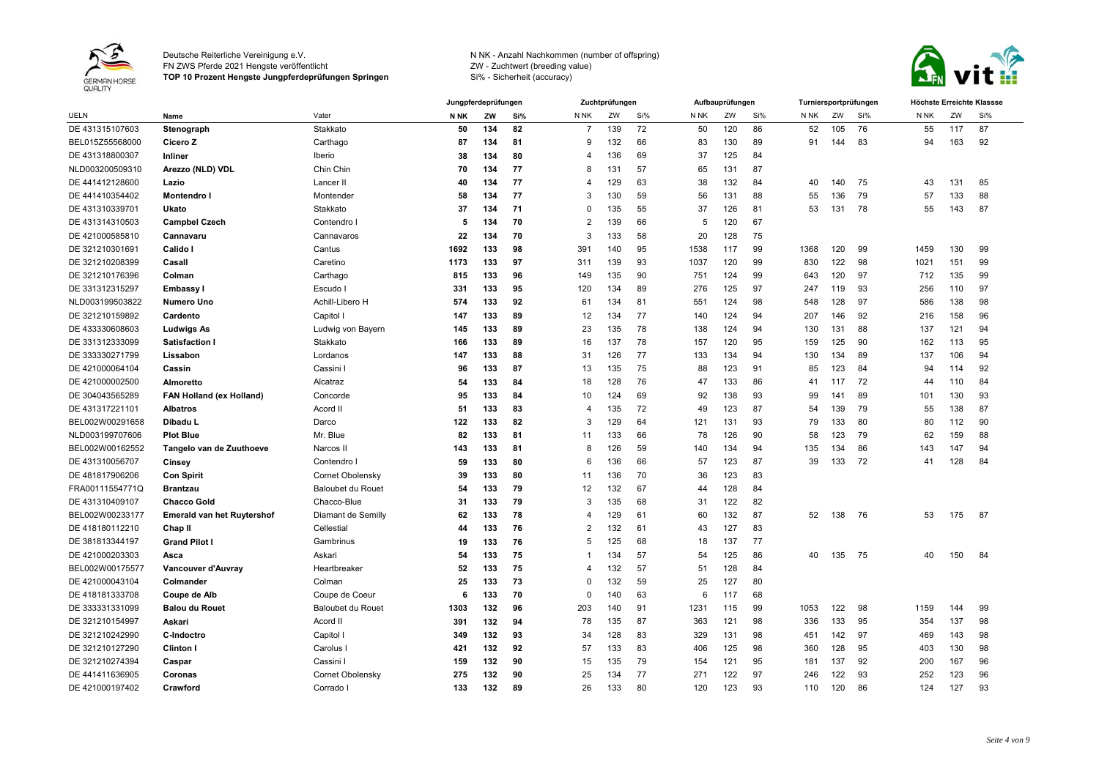

FN ZWS Pferde 2021 Hengste veröffentlicht

**TOP 10 Prozent Hengste Jungpferdeprüfungen Springen**



|                 |                                   |                          |      | Jungpferdeprüfungen |     |                         | Zuchtprüfungen |     |                 | Aufbauprüfungen |     |      |     | Turniersportprüfungen |      |     | Höchste Erreichte Klassse |
|-----------------|-----------------------------------|--------------------------|------|---------------------|-----|-------------------------|----------------|-----|-----------------|-----------------|-----|------|-----|-----------------------|------|-----|---------------------------|
| <b>UELN</b>     | Name                              | Vater                    | N NK | ZW                  | Si% | N NK                    | ZW             | Si% | N <sub>NK</sub> | ZW              | Si% | N NK | ZW  | Si%                   | N NK | ZW  | Si%                       |
| DE 431315107603 | Stenograph                        | Stakkato                 | 50   | 134                 | 82  | -7                      | 139            | 72  | 50              | 120             | 86  | 52   | 105 | 76                    | 55   | 117 | 87                        |
| BEL015Z55568000 | Cicero Z                          | Carthago                 | 87   | 134                 | 81  | 9                       | 132            | 66  | 83              | 130             | 89  | 91   | 144 | 83                    | 94   | 163 | 92                        |
| DE 431318800307 | Inliner                           | Iberio                   | 38   | 134                 | 80  | $\overline{\mathbf{4}}$ | 136            | 69  | 37              | 125             | 84  |      |     |                       |      |     |                           |
| NLD003200509310 | Arezzo (NLD) VDL                  | Chin Chin                | 70   | 134                 | 77  | 8                       | 131            | 57  | 65              | 131             | 87  |      |     |                       |      |     |                           |
| DE 441412128600 | Lazio                             | Lancer II                | 40   | 134                 | 77  | 4                       | 129            | 63  | 38              | 132             | 84  | 40   | 140 | 75                    | 43   | 131 | 85                        |
| DE 441410354402 | <b>Montendro I</b>                | Montender                | 58   | 134                 | 77  | 3                       | 130            | 59  | 56              | 131             | 88  | 55   | 136 | 79                    | 57   | 133 | 88                        |
| DE 431310339701 | Ukato                             | Stakkato                 | 37   | 134                 | 71  | $\Omega$                | 135            | 55  | 37              | 126             | 81  | 53   | 131 | 78                    | 55   | 143 | 87                        |
| DE 431314310503 | <b>Campbel Czech</b>              | Contendro I              | 5    | 134                 | 70  | $\overline{2}$          | 139            | 66  | 5               | 120             | 67  |      |     |                       |      |     |                           |
| DE 421000585810 | Cannavaru                         | Cannavaros               | 22   | 134                 | 70  | 3                       | 133            | 58  | 20              | 128             | 75  |      |     |                       |      |     |                           |
| DE 321210301691 | Calido I                          | Cantus                   | 1692 | 133                 | 98  | 391                     | 140            | 95  | 1538            | 117             | 99  | 1368 | 120 | 99                    | 1459 | 130 | 99                        |
| DE 321210208399 | Casall                            | Caretino                 | 1173 | 133                 | 97  | 311                     | 139            | 93  | 1037            | 120             | 99  | 830  | 122 | 98                    | 1021 | 151 | 99                        |
| DE 321210176396 | Colman                            | Carthago                 | 815  | 133                 | 96  | 149                     | 135            | 90  | 751             | 124             | 99  | 643  | 120 | 97                    | 712  | 135 | 99                        |
| DE 331312315297 | <b>Embassy I</b>                  | Escudo I                 | 331  | 133                 | 95  | 120                     | 134            | 89  | 276             | 125             | 97  | 247  | 119 | 93                    | 256  | 110 | 97                        |
| NLD003199503822 | <b>Numero Uno</b>                 | Achill-Libero H          | 574  | 133                 | 92  | 61                      | 134            | 81  | 551             | 124             | 98  | 548  | 128 | 97                    | 586  | 138 | 98                        |
| DE 321210159892 | Cardento                          | Capitol I                | 147  | 133                 | 89  | 12                      | 134            | 77  | 140             | 124             | 94  | 207  | 146 | 92                    | 216  | 158 | 96                        |
| DE 433330608603 | <b>Ludwigs As</b>                 | Ludwig von Bayern        | 145  | 133                 | 89  | 23                      | 135            | 78  | 138             | 124             | 94  | 130  | 131 | 88                    | 137  | 121 | 94                        |
| DE 331312333099 | <b>Satisfaction I</b>             | Stakkato                 | 166  | 133                 | 89  | 16                      | 137            | 78  | 157             | 120             | 95  | 159  | 125 | 90                    | 162  | 113 | 95                        |
| DE 333330271799 | Lissabon                          | Lordanos                 | 147  | 133                 | 88  | 31                      | 126            | 77  | 133             | 134             | 94  | 130  | 134 | 89                    | 137  | 106 | 94                        |
| DE 421000064104 | Cassin                            | Cassini I                | 96   | 133                 | 87  | 13                      | 135            | 75  | 88              | 123             | 91  | 85   | 123 | 84                    | 94   | 114 | 92                        |
| DE 421000002500 | Almoretto                         | Alcatraz                 | 54   | 133                 | 84  | 18                      | 128            | 76  | 47              | 133             | 86  | 41   | 117 | 72                    | 44   | 110 | 84                        |
| DE 304043565289 | <b>FAN Holland (ex Holland)</b>   | Concorde                 | 95   | 133                 | 84  | 10                      | 124            | 69  | 92              | 138             | 93  | 99   | 141 | 89                    | 101  | 130 | 93                        |
| DE 431317221101 | <b>Albatros</b>                   | Acord II                 | 51   | 133                 | 83  | $\overline{4}$          | 135            | 72  | 49              | 123             | 87  | 54   | 139 | 79                    | 55   | 138 | 87                        |
| BEL002W00291658 | Dibadu L                          | Darco                    | 122  | 133                 | 82  | 3                       | 129            | 64  | 121             | 131             | 93  | 79   | 133 | 80                    | 80   | 112 | 90                        |
| NLD003199707606 | <b>Plot Blue</b>                  | Mr. Blue                 | 82   | 133                 | 81  | 11                      | 133            | 66  | 78              | 126             | 90  | 58   | 123 | 79                    | 62   | 159 | 88                        |
| BEL002W00162552 | Tangelo van de Zuuthoeve          | Narcos II                | 143  | 133                 | 81  | 8                       | 126            | 59  | 140             | 134             | 94  | 135  | 134 | 86                    | 143  | 147 | 94                        |
| DE 431310056707 | Cinsey                            | Contendro I              | 59   | 133                 | 80  | 6                       | 136            | 66  | 57              | 123             | 87  | 39   | 133 | 72                    | 41   | 128 | 84                        |
| DE 481817906206 | <b>Con Spirit</b>                 | Cornet Obolensky         | 39   | 133                 | 80  | 11                      | 136            | 70  | 36              | 123             | 83  |      |     |                       |      |     |                           |
| FRA00111554771Q | <b>Brantzau</b>                   | Baloubet du Rouet        | 54   | 133                 | 79  | 12                      | 132            | 67  | 44              | 128             | 84  |      |     |                       |      |     |                           |
| DE 431310409107 | <b>Chacco Gold</b>                | Chacco-Blue              | 31   | 133                 | 79  | 3                       | 135            | 68  | 31              | 122             | 82  |      |     |                       |      |     |                           |
| BEL002W00233177 | <b>Emerald van het Ruytershof</b> | Diamant de Semilly       | 62   | 133                 | 78  | $\overline{4}$          | 129            | 61  | 60              | 132             | 87  | 52   | 138 | 76                    | 53   | 175 | 87                        |
| DE 418180112210 | Chap II                           | Cellestial               | 44   | 133                 | 76  | $\overline{2}$          | 132            | 61  | 43              | 127             | 83  |      |     |                       |      |     |                           |
| DE 381813344197 | <b>Grand Pilot I</b>              | Gambrinus                | 19   | 133                 | 76  | 5                       | 125            | 68  | 18              | 137             | 77  |      |     |                       |      |     |                           |
| DE 421000203303 | Asca                              | Askari                   | 54   | 133                 | 75  | $\mathbf 1$             | 134            | 57  | 54              | 125             | 86  | 40   | 135 | - 75                  | 40   | 150 | 84                        |
| BEL002W00175577 | Vancouver d'Auvray                | Heartbreaker             | 52   | 133                 | 75  | $\overline{4}$          | 132            | 57  | 51              | 128             | 84  |      |     |                       |      |     |                           |
| DE 421000043104 | Colmander                         | Colman                   | 25   | 133                 | 73  | $\Omega$                | 132            | 59  | 25              | 127             | 80  |      |     |                       |      |     |                           |
| DE 418181333708 | Coupe de Alb                      | Coupe de Coeur           | 6    | 133                 | 70  | $\mathbf 0$             | 140            | 63  | 6               | 117             | 68  |      |     |                       |      |     |                           |
| DE 333331331099 | <b>Balou du Rouet</b>             | <b>Baloubet du Rouet</b> | 1303 | 132                 | 96  | 203                     | 140            | 91  | 1231            | 115             | 99  | 1053 | 122 | 98                    | 1159 | 144 | 99                        |
| DE 321210154997 | Askari                            | Acord II                 | 391  | 132                 | 94  | 78                      | 135            | 87  | 363             | 121             | 98  | 336  | 133 | 95                    | 354  | 137 | 98                        |
| DE 321210242990 | C-Indoctro                        | Capitol I                | 349  | 132                 | 93  | 34                      | 128            | 83  | 329             | 131             | 98  | 451  | 142 | 97                    | 469  | 143 | 98                        |
| DE 321210127290 | <b>Clinton I</b>                  | Carolus I                | 421  | 132                 | 92  | 57                      | 133            | 83  | 406             | 125             | 98  | 360  | 128 | 95                    | 403  | 130 | 98                        |
| DE 321210274394 | Caspar                            | Cassini I                | 159  | 132                 | 90  | 15                      | 135            | 79  | 154             | 121             | 95  | 181  | 137 | 92                    | 200  | 167 | 96                        |
| DE 441411636905 | Coronas                           | Cornet Obolensky         | 275  | 132                 | 90  | 25                      | 134            | 77  | 271             | 122             | 97  | 246  | 122 | 93                    | 252  | 123 | 96                        |
| DE 421000197402 | Crawford                          | Corrado I                | 133  | 132                 | 89  | 26                      | 133            | 80  | 120             | 123             | 93  | 110  | 120 | 86                    | 124  | 127 | 93                        |
|                 |                                   |                          |      |                     |     |                         |                |     |                 |                 |     |      |     |                       |      |     |                           |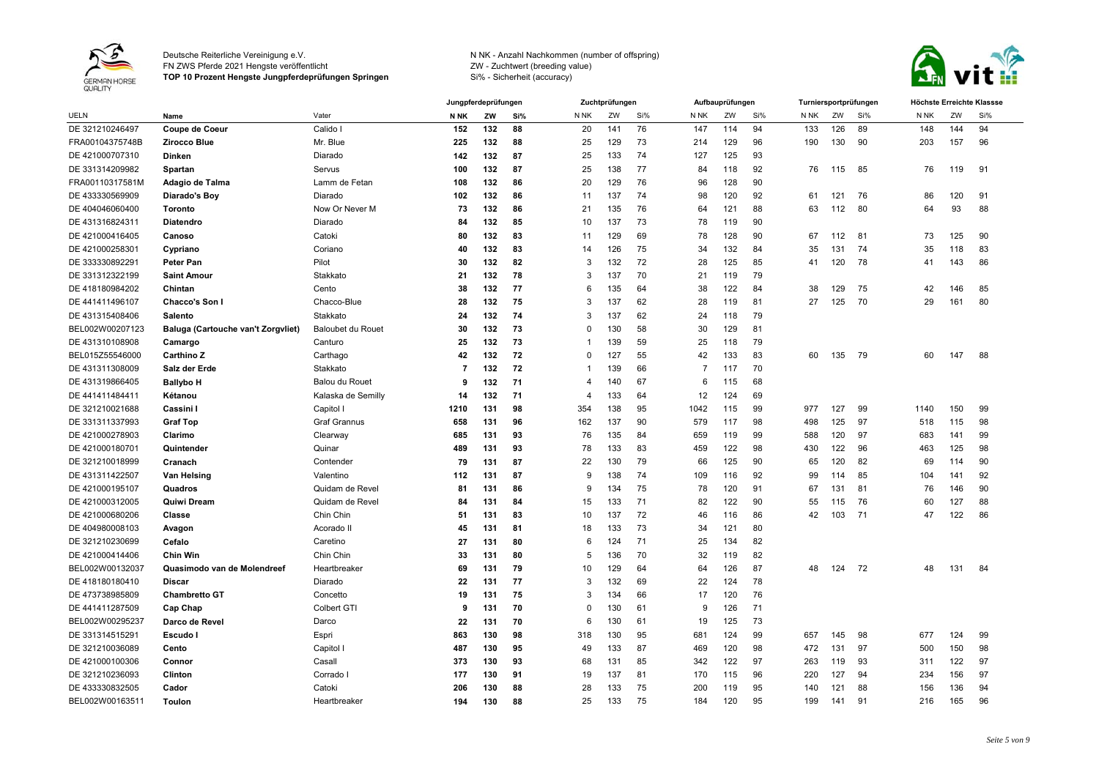

FN ZWS Pferde 2021 Hengste veröffentlicht

**TOP 10 Prozent Hengste Jungpferdeprüfungen Springen**



|                 |                                    |                       |      | Jungpferdeprüfungen |     |                 | Zuchtprüfungen |     |      | Aufbauprüfungen |     |      |     | Turniersportprüfungen | Höchste Erreichte Klassse |     |     |
|-----------------|------------------------------------|-----------------------|------|---------------------|-----|-----------------|----------------|-----|------|-----------------|-----|------|-----|-----------------------|---------------------------|-----|-----|
| <b>UELN</b>     | Name                               | Vater                 | N NK | ZW                  | Si% | N <sub>NK</sub> | ZW             | Si% | N NK | ZW              | Si% | N NK | ZW  | Si%                   | N NK                      | ZW  | Si% |
| DE 321210246497 | <b>Coupe de Coeur</b>              | Calido I              | 152  | 132                 | 88  | 20              | 141            | 76  | 147  | 114             | 94  | 133  | 126 | 89                    | 148                       | 144 | 94  |
| FRA00104375748B | <b>Zirocco Blue</b>                | Mr. Blue              | 225  | 132                 | 88  | 25              | 129            | 73  | 214  | 129             | 96  | 190  | 130 | 90                    | 203                       | 157 | 96  |
| DE 421000707310 | <b>Dinken</b>                      | Diarado               | 142  | 132                 | 87  | 25              | 133            | 74  | 127  | 125             | 93  |      |     |                       |                           |     |     |
| DE 331314209982 | Spartan                            | Servus                | 100  | 132                 | 87  | 25              | 138            | 77  | 84   | 118             | 92  | 76   | 115 | 85                    | 76                        | 119 | 91  |
| FRA00110317581M | Adagio de Talma                    | Lamm de Fetan         | 108  | 132                 | 86  | 20              | 129            | 76  | 96   | 128             | 90  |      |     |                       |                           |     |     |
| DE 433330569909 | Diarado's Boy                      | Diarado               | 102  | 132                 | 86  | 11              | 137            | 74  | 98   | 120             | 92  | 61   | 121 | 76                    | 86                        | 120 | 91  |
| DE 404046060400 | Toronto                            | Now Or Never M        | 73   | 132                 | 86  | 21              | 135            | 76  | 64   | 121             | 88  | 63   | 112 | 80                    | 64                        | 93  | 88  |
| DE 431316824311 | Diatendro                          | Diarado               | 84   | 132                 | 85  | 10              | 137            | 73  | 78   | 119             | 90  |      |     |                       |                           |     |     |
| DE 421000416405 | Canoso                             | Catoki                | 80   | 132                 | 83  | 11              | 129            | 69  | 78   | 128             | 90  | 67   | 112 | 81                    | 73                        | 125 | 90  |
| DE 421000258301 | Cypriano                           | Coriano               | 40   | 132                 | 83  | 14              | 126            | 75  | 34   | 132             | 84  | 35   | 131 | 74                    | 35                        | 118 | 83  |
| DE 333330892291 | <b>Peter Pan</b>                   | Pilot                 | 30   | 132                 | 82  | 3               | 132            | 72  | 28   | 125             | 85  | 41   | 120 | 78                    | 41                        | 143 | 86  |
| DE 331312322199 | <b>Saint Amour</b>                 | Stakkato              | 21   | 132                 | 78  | 3               | 137            | 70  | 21   | 119             | 79  |      |     |                       |                           |     |     |
| DE 418180984202 | Chintan                            | Cento                 | 38   | 132                 | 77  | 6               | 135            | 64  | 38   | 122             | 84  | 38   | 129 | 75                    | 42                        | 146 | 85  |
| DE 441411496107 | Chacco's Son I                     | Chacco-Blue           | 28   | 132                 | 75  | 3               | 137            | 62  | 28   | 119             | 81  | 27   | 125 | 70                    | 29                        | 161 | 80  |
| DE 431315408406 | <b>Salento</b>                     | Stakkato              | 24   | 132                 | 74  | 3               | 137            | 62  | 24   | 118             | 79  |      |     |                       |                           |     |     |
| BEL002W00207123 | Baluga (Cartouche van't Zorgvliet) | Baloubet du Rouet     | 30   | 132                 | 73  | 0               | 130            | 58  | 30   | 129             | 81  |      |     |                       |                           |     |     |
| DE 431310108908 | Camargo                            | Canturo               | 25   | 132                 | 73  | -1              | 139            | 59  | 25   | 118             | 79  |      |     |                       |                           |     |     |
| BEL015Z55546000 | <b>Carthino Z</b>                  | Carthago              | 42   | 132                 | 72  | $\Omega$        | 127            | 55  | 42   | 133             | 83  | 60   | 135 | -79                   | 60                        | 147 | 88  |
| DE 431311308009 | Salz der Erde                      | Stakkato              | 7    | 132                 | 72  | -1              | 139            | 66  | -7   | 117             | 70  |      |     |                       |                           |     |     |
| DE 431319866405 | <b>Ballybo H</b>                   | <b>Balou du Rouet</b> | 9    | 132                 | 71  | 4               | 140            | 67  | 6    | 115             | 68  |      |     |                       |                           |     |     |
| DE 441411484411 | Kétanou                            | Kalaska de Semilly    | 14   | 132                 | 71  | $\overline{4}$  | 133            | 64  | 12   | 124             | 69  |      |     |                       |                           |     |     |
| DE 321210021688 | Cassini I                          | Capitol I             | 1210 | 131                 | 98  | 354             | 138            | 95  | 1042 | 115             | 99  | 977  | 127 | 99                    | 1140                      | 150 | 99  |
| DE 331311337993 | <b>Graf Top</b>                    | Graf Grannus          | 658  | 131                 | 96  | 162             | 137            | 90  | 579  | 117             | 98  | 498  | 125 | 97                    | 518                       | 115 | 98  |
| DE 421000278903 | Clarimo                            | Clearway              | 685  | 131                 | 93  | 76              | 135            | 84  | 659  | 119             | 99  | 588  | 120 | 97                    | 683                       | 141 | 99  |
| DE 421000180701 | Quintender                         | Quinar                | 489  | 131                 | 93  | 78              | 133            | 83  | 459  | 122             | 98  | 430  | 122 | 96                    | 463                       | 125 | 98  |
| DE 321210018999 | Cranach                            | Contender             | 79   | 131                 | 87  | 22              | 130            | 79  | 66   | 125             | 90  | 65   | 120 | 82                    | 69                        | 114 | 90  |
| DE 431311422507 | Van Helsing                        | Valentino             | 112  | 131                 | 87  | 9               | 138            | 74  | 109  | 116             | 92  | 99   | 114 | 85                    | 104                       | 141 | 92  |
| DE 421000195107 | Quadros                            | Quidam de Revel       | 81   | 131                 | 86  | 9               | 134            | 75  | 78   | 120             | 91  | 67   | 131 | 81                    | 76                        | 146 | 90  |
| DE 421000312005 | Quiwi Dream                        | Quidam de Revel       | 84   | 131                 | 84  | 15              | 133            | 71  | 82   | 122             | 90  | 55   | 115 | 76                    | 60                        | 127 | 88  |
| DE 421000680206 | Classe                             | Chin Chin             | -51  | 131                 | 83  | 10              | 137            | 72  | 46   | 116             | 86  | 42   | 103 | 71                    | 47                        | 122 | 86  |
| DE 404980008103 | Avagon                             | Acorado II            | 45   | 13 <sup>′</sup>     | 81  | 18              | 133            | 73  | 34   | 121             | 80  |      |     |                       |                           |     |     |
| DE 321210230699 | Cefalo                             | Caretino              | 27   | 131                 | 80  | 6               | 124            | 71  | 25   | 134             | 82  |      |     |                       |                           |     |     |
| DE 421000414406 | <b>Chin Win</b>                    | Chin Chin             | 33   | 131                 | 80  | 5               | 136            | 70  | 32   | 119             | 82  |      |     |                       |                           |     |     |
| BEL002W00132037 | Quasimodo van de Molendreef        | Heartbreaker          | 69   | 131                 | 79  | 10              | 129            | 64  | 64   | 126             | 87  | 48   | 124 | 72                    | 48                        | 131 | 84  |
| DE 418180180410 | <b>Discar</b>                      | Diarado               | 22   | 131                 | 77  | 3               | 132            | 69  | 22   | 124             | 78  |      |     |                       |                           |     |     |
| DE 473738985809 | <b>Chambretto GT</b>               | Concetto              | 19   | 131                 | 75  | 3               | 134            | 66  | 17   | 120             | 76  |      |     |                       |                           |     |     |
| DE 441411287509 | Cap Chap                           | Colbert GTI           | 9    | 131                 | 70  | $\Omega$        | 130            | 61  | 9    | 126             | 71  |      |     |                       |                           |     |     |
| BEL002W00295237 | Darco de Revel                     | Darco                 | 22   | 131                 | 70  | 6               | 130            | 61  | 19   | 125             | 73  |      |     |                       |                           |     |     |
| DE 331314515291 | Escudo I                           | Espri                 | 863  | 130                 | 98  | 318             | 130            | 95  | 681  | 124             | 99  | 657  | 145 | 98                    | 677                       | 124 | 99  |
| DE 321210036089 | Cento                              | Capitol I             | 487  | 130                 | 95  | 49              | 133            | 87  | 469  | 120             | 98  | 472  | 131 | 97                    | 500                       | 150 | 98  |
| DE 421000100306 | Connor                             | Casall                | 373  | 130                 | 93  | 68              | 131            | 85  | 342  | 122             | 97  | 263  | 119 | 93                    | 311                       | 122 | 97  |
| DE 321210236093 | Clinton                            | Corrado I             | 177  | 130                 | 91  | 19              | 137            | 81  | 170  | 115             | 96  | 220  | 127 | 94                    | 234                       | 156 | 97  |
| DE 433330832505 | Cador                              | Catoki                | 206  | 130                 | 88  | 28              | 133            | 75  | 200  | 119             | 95  | 140  | 121 | 88                    | 156                       | 136 | 94  |
| BEL002W00163511 | Toulon                             | Heartbreaker          | 194  | 130                 | 88  | 25              | 133            | 75  | 184  | 120             | 95  | 199  | 141 | 91                    | 216                       | 165 | 96  |
|                 |                                    |                       |      |                     |     |                 |                |     |      |                 |     |      |     |                       |                           |     |     |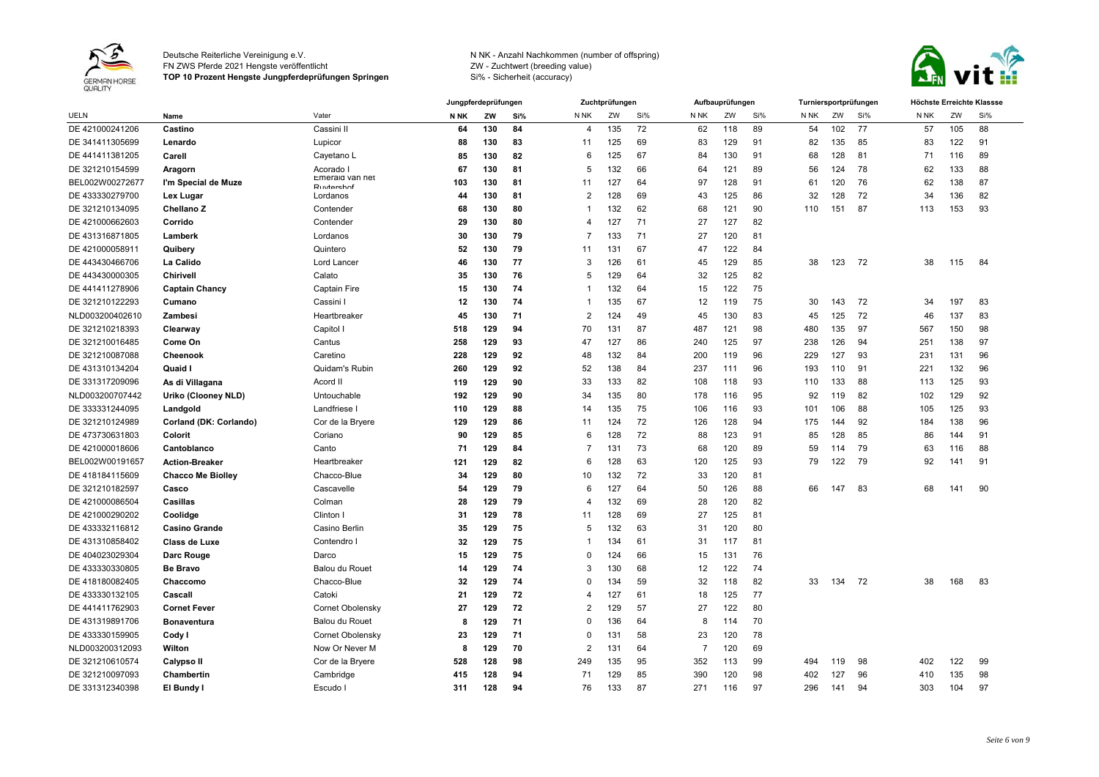

FN ZWS Pferde 2021 Hengste veröffentlicht

**TOP 10 Prozent Hengste Jungpferdeprüfungen Springen**



|                 |                          |                               |             | Jungpferdeprüfungen |     |                | Zuchtprüfungen |     |      | Aufbauprüfungen |     | Turniersportprüfungen |     |     | Höchste Erreichte Klassse |     |     |
|-----------------|--------------------------|-------------------------------|-------------|---------------------|-----|----------------|----------------|-----|------|-----------------|-----|-----------------------|-----|-----|---------------------------|-----|-----|
| <b>UELN</b>     | Name                     | Vater                         | <b>N NK</b> | ZW                  | Si% | N NK           | ZW             | Si% | N NK | ZW              | Si% | N NK                  | ZW  | Si% | N <sub>NK</sub>           | ZW  | Si% |
| DE 421000241206 | Castino                  | Cassini II                    | 64          | 130                 | 84  | $\overline{4}$ | 135            | 72  | 62   | 118             | 89  | 54                    | 102 | 77  | 57                        | 105 | 88  |
| DE 341411305699 | Lenardo                  | Lupicor                       | 88          | 130                 | 83  | 11             | 125            | 69  | 83   | 129             | 91  | 82                    | 135 | 85  | 83                        | 122 | 91  |
| DE 441411381205 | Carell                   | Cayetano L                    | 85          | 130                 | 82  | 6              | 125            | 67  | 84   | 130             | 91  | 68                    | 128 | 81  | 71                        | 116 | 89  |
| DE 321210154599 | Aragorn                  | Acorado I                     | 67          | 130                 | 81  | 5              | 132            | 66  | 64   | 121             | 89  | 56                    | 124 | 78  | 62                        | 133 | 88  |
| BEL002W00272677 | I'm Special de Muze      | Emeraid van net<br>Rustarchot | 103         | 130                 | 81  | 11             | 127            | 64  | 97   | 128             | 91  | 61                    | 120 | 76  | 62                        | 138 | 87  |
| DE 433330279700 | Lex Lugar                | Lordanos                      | 44          | 130                 | 81  | $\overline{2}$ | 128            | 69  | 43   | 125             | 86  | 32                    | 128 | 72  | 34                        | 136 | 82  |
| DE 321210134095 | Chellano Z               | Contender                     | 68          | 130                 | 80  | -1             | 132            | 62  | 68   | 121             | 90  | 110                   | 151 | 87  | 113                       | 153 | 93  |
| DE 421000662603 | Corrido                  | Contender                     | 29          | 130                 | 80  | 4              | 127            | 71  | 27   | 127             | 82  |                       |     |     |                           |     |     |
| DE 431316871805 | Lamberk                  | Lordanos                      | 30          | 130                 | 79  | 7              | 133            | 71  | 27   | 120             | 81  |                       |     |     |                           |     |     |
| DE 421000058911 | Quibery                  | Quintero                      | 52          | 130                 | 79  | 11             | 131            | 67  | 47   | 122             | 84  |                       |     |     |                           |     |     |
| DE 443430466706 | La Calido                | Lord Lancer                   | 46          | 130                 | 77  | 3              | 126            | 61  | 45   | 129             | 85  | 38                    | 123 | 72  | 38                        | 115 | 84  |
| DE 443430000305 | Chirivell                | Calato                        | 35          | 130                 | 76  | 5              | 129            | 64  | 32   | 125             | 82  |                       |     |     |                           |     |     |
| DE 441411278906 | <b>Captain Chancy</b>    | <b>Captain Fire</b>           | 15          | 130                 | 74  | -1             | 132            | 64  | 15   | 122             | 75  |                       |     |     |                           |     |     |
| DE 321210122293 | Cumano                   | Cassini I                     | 12          | 130                 | 74  | -1             | 135            | 67  | 12   | 119             | 75  | 30                    | 143 | 72  | 34                        | 197 | 83  |
| NLD003200402610 | Zambesi                  | Heartbreaker                  | 45          | 130                 | 71  | $\overline{2}$ | 124            | 49  | 45   | 130             | 83  | 45                    | 125 | 72  | 46                        | 137 | 83  |
| DE 321210218393 | Clearway                 | Capitol I                     | 518         | 129                 | 94  | 70             | 131            | 87  | 487  | 121             | 98  | 480                   | 135 | 97  | 567                       | 150 | 98  |
| DE 321210016485 | Come On                  | Cantus                        | 258         | 129                 | 93  | 47             | 127            | 86  | 240  | 125             | 97  | 238                   | 126 | 94  | 251                       | 138 | 97  |
| DE 321210087088 | Cheenook                 | Caretino                      | 228         | 129                 | 92  | 48             | 132            | 84  | 200  | 119             | 96  | 229                   | 127 | 93  | 231                       | 131 | 96  |
| DE 431310134204 | Quaid I                  | Quidam's Rubin                | 260         | 129                 | 92  | 52             | 138            | 84  | 237  | 111             | 96  | 193                   | 110 | 91  | 221                       | 132 | 96  |
| DE 331317209096 | As di Villagana          | Acord II                      | 119         | 129                 | 90  | 33             | 133            | 82  | 108  | 118             | 93  | 110                   | 133 | 88  | 113                       | 125 | 93  |
| NLD003200707442 | Uriko (Clooney NLD)      | Untouchable                   | 192         | 129                 | 90  | 34             | 135            | 80  | 178  | 116             | 95  | 92                    | 119 | 82  | 102                       | 129 | 92  |
| DE 333331244095 | Landgold                 | Landfriese                    | 110         | 129                 | 88  | 14             | 135            | 75  | 106  | 116             | 93  | 101                   | 106 | 88  | 105                       | 125 | 93  |
| DE 321210124989 | Corland (DK: Corlando)   | Cor de la Bryere              | 129         | 129                 | 86  | 11             | 124            | 72  | 126  | 128             | 94  | 175                   | 144 | 92  | 184                       | 138 | 96  |
| DE 473730631803 | Colorit                  | Coriano                       | 90          | 129                 | 85  | 6              | 128            | 72  | 88   | 123             | 91  | 85                    | 128 | 85  | 86                        | 144 | 91  |
| DE 421000018606 | Cantoblanco              | Canto                         | 71          | 129                 | 84  | 7              | 131            | 73  | 68   | 120             | 89  | 59                    | 114 | 79  | 63                        | 116 | 88  |
| BEL002W00191657 | <b>Action-Breaker</b>    | Heartbreaker                  | 121         | 129                 | 82  | 6              | 128            | 63  | 120  | 125             | 93  | 79                    | 122 | 79  | 92                        | 141 | 91  |
| DE 418184115609 | <b>Chacco Me Biolley</b> | Chacco-Blue                   | 34          | 129                 | 80  | 10             | 132            | 72  | 33   | 120             | 81  |                       |     |     |                           |     |     |
| DE 321210182597 | Casco                    | Cascavelle                    | 54          | 129                 | 79  | 6              | 127            | 64  | 50   | 126             | 88  | 66                    | 147 | 83  | 68                        | 141 | 90  |
| DE 421000086504 | Casillas                 | Colman                        | 28          | 129                 | 79  | 4              | 132            | 69  | 28   | 120             | 82  |                       |     |     |                           |     |     |
| DE 421000290202 | Coolidge                 | Clinton I                     | 31          | 129                 | 78  | 11             | 128            | 69  | 27   | 125             | 81  |                       |     |     |                           |     |     |
| DE 433332116812 | <b>Casino Grande</b>     | Casino Berlin                 | 35          | 129                 | 75  | 5              | 132            | 63  | 31   | 120             | 80  |                       |     |     |                           |     |     |
| DE 431310858402 | Class de Luxe            | Contendro                     | 32          | 129                 | 75  | -1             | 134            | 61  | 31   | 117             | 81  |                       |     |     |                           |     |     |
| DE 404023029304 | Darc Rouge               | Darco                         | 15          | 129                 | 75  | $\Omega$       | 124            | 66  | 15   | 131             | 76  |                       |     |     |                           |     |     |
| DE 433330330805 | <b>Be Bravo</b>          | <b>Balou du Rouet</b>         | 14          | 129                 | 74  | 3              | 130            | 68  | 12   | 122             | 74  |                       |     |     |                           |     |     |
| DE 418180082405 | Chaccomo                 | Chacco-Blue                   | 32          | 129                 | 74  | $\Omega$       | 134            | 59  | 32   | 118             | 82  | 33                    | 134 | 72  | 38                        | 168 | 83  |
| DE 433330132105 | Cascall                  | Catoki                        | 21          | 129                 | 72  | 4              | 127            | 61  | 18   | 125             | 77  |                       |     |     |                           |     |     |
| DE 441411762903 | <b>Cornet Fever</b>      | Cornet Obolensky              | 27          | 129                 | 72  | $\overline{2}$ | 129            | 57  | 27   | 122             | 80  |                       |     |     |                           |     |     |
| DE 431319891706 | <b>Bonaventura</b>       | Balou du Rouet                | 8           | 129                 | 71  | $\Omega$       | 136            | 64  | 8    | 114             | 70  |                       |     |     |                           |     |     |
| DE 433330159905 | Cody I                   | Cornet Obolensky              | 23          | 129                 | 71  | $\Omega$       | 131            | 58  | 23   | 120             | 78  |                       |     |     |                           |     |     |
| NLD003200312093 | Wilton                   | Now Or Never M                | 8           | 129                 | 70  | $\overline{2}$ | 131            | 64  | 7    | 120             | 69  |                       |     |     |                           |     |     |
| DE 321210610574 | Calypso II               | Cor de la Bryere              | 528         | 128                 | 98  | 249            | 135            | 95  | 352  | 113             | 99  | 494                   | 119 | 98  | 402                       | 122 | 99  |
| DE 321210097093 | Chambertin               | Cambridge                     | 415         | 128                 | 94  | 71             | 129            | 85  | 390  | 120             | 98  | 402                   | 127 | 96  | 410                       | 135 | 98  |
| DE 331312340398 | El Bundy I               | Escudo                        | 311         | 128                 | 94  | 76             | 133            | 87  | 271  | 116             | 97  | 296                   | 141 | 94  | 303                       | 104 | 97  |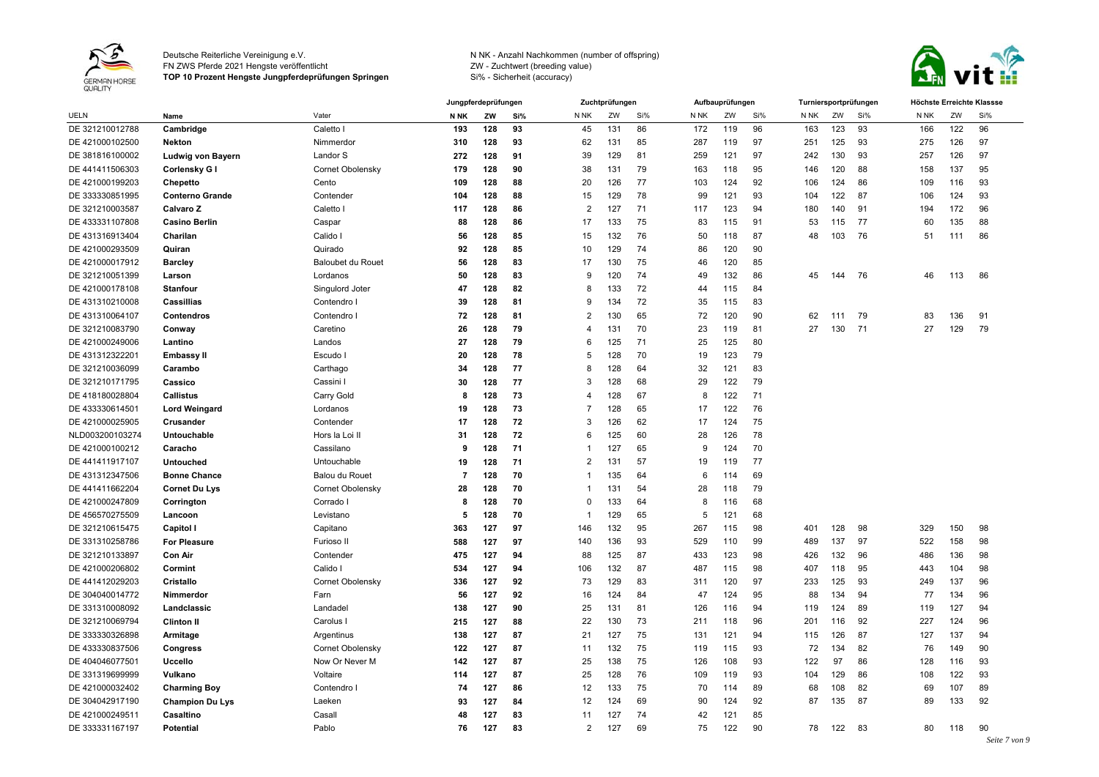

FN ZWS Pferde 2021 Hengste veröffentlicht

**TOP 10 Prozent Hengste Jungpferdeprüfungen Springen**



|                 |                        |                   |             | Jungpferdeprüfungen |     |                | Zuchtprüfungen  |     |      | Aufbauprüfungen |     |      |     | Turniersportprüfungen | Höchste Erreichte Klassse |     |                     |
|-----------------|------------------------|-------------------|-------------|---------------------|-----|----------------|-----------------|-----|------|-----------------|-----|------|-----|-----------------------|---------------------------|-----|---------------------|
| <b>UELN</b>     | Name                   | Vater             | <b>N NK</b> | ZW                  | Si% | N NK           | ZW              | Si% | N NK | ZW              | Si% | N NK | ZW  | Si%                   | N NK                      | ZW  | Si%                 |
| DE 321210012788 | Cambridge              | Caletto I         | 193         | 128                 | 93  | 45             | 131             | 86  | 172  | 119             | 96  | 163  | 123 | 93                    | 166                       | 122 | 96                  |
| DE 421000102500 | <b>Nekton</b>          | Nimmerdor         | 310         | 128                 | 93  | 62             | 131             | 85  | 287  | 119             | 97  | 251  | 125 | 93                    | 275                       | 126 | 97                  |
| DE 381816100002 | Ludwig von Bayern      | Landor S          | 272         | 128                 | 91  | 39             | 129             | 81  | 259  | 121             | 97  | 242  | 130 | 93                    | 257                       | 126 | 97                  |
| DE 441411506303 | Corlensky G I          | Cornet Obolensky  | 179         | 128                 | 90  | 38             | 131             | 79  | 163  | 118             | 95  | 146  | 120 | 88                    | 158                       | 137 | 95                  |
| DE 421000199203 | Chepetto               | Cento             | 109         | 128                 | 88  | 20             | 126             | 77  | 103  | 124             | 92  | 106  | 124 | 86                    | 109                       | 116 | 93                  |
| DE 333330851995 | <b>Conterno Grande</b> | Contender         | 104         | 128                 | 88  | 15             | 129             | 78  | 99   | 121             | 93  | 104  | 122 | 87                    | 106                       | 124 | 93                  |
| DE 321210003587 | Calvaro Z              | Caletto I         | 117         | 128                 | 86  | $\overline{2}$ | 127             | 71  | 117  | 123             | 94  | 180  | 140 | 91                    | 194                       | 172 | 96                  |
| DE 433331107808 | <b>Casino Berlin</b>   | Caspar            | 88          | 128                 | 86  | 17             | 133             | 75  | 83   | 115             | 91  | 53   | 115 | 77                    | 60                        | 135 | 88                  |
| DE 431316913404 | Charilan               | Calido I          | 56          | 128                 | 85  | 15             | 132             | 76  | 50   | 118             | 87  | 48   | 103 | 76                    | 51                        | 111 | 86                  |
| DE 421000293509 | Quiran                 | Quirado           | 92          | 128                 | 85  | 10             | 129             | 74  | 86   | 120             | 90  |      |     |                       |                           |     |                     |
| DE 421000017912 | <b>Barcley</b>         | Baloubet du Rouet | 56          | 128                 | 83  | 17             | 130             | 75  | 46   | 120             | 85  |      |     |                       |                           |     |                     |
| DE 321210051399 | Larson                 | Lordanos          | 50          | 128                 | 83  | 9              | 120             | 74  | 49   | 132             | 86  | 45   | 144 | 76                    | 46                        | 113 | 86                  |
| DE 421000178108 | <b>Stanfour</b>        | Singulord Joter   | 47          | 128                 | 82  | 8              | 133             | 72  | 44   | 115             | 84  |      |     |                       |                           |     |                     |
| DE 431310210008 | Cassillias             | Contendro I       | 39          | 128                 | 81  | 9              | 134             | 72  | 35   | 115             | 83  |      |     |                       |                           |     |                     |
| DE 431310064107 | Contendros             | Contendro I       | 72          | 128                 | 81  | $\overline{2}$ | 130             | 65  | 72   | 120             | 90  | 62   | 111 | 79                    | 83                        | 136 | 91                  |
| DE 321210083790 | Conway                 | Caretino          | 26          | 128                 | 79  | $\overline{4}$ | 131             | 70  | 23   | 119             | 81  | 27   | 130 | 71                    | 27                        | 129 | 79                  |
| DE 421000249006 | Lantino                | Landos            | 27          | 128                 | 79  | 6              | 125             | 71  | 25   | 125             | 80  |      |     |                       |                           |     |                     |
| DE 431312322201 | <b>Embassy II</b>      | Escudo I          | 20          | 128                 | 78  | 5              | 128             | 70  | 19   | 123             | 79  |      |     |                       |                           |     |                     |
| DE 321210036099 | Carambo                | Carthago          | 34          | 128                 | 77  | 8              | 128             | 64  | 32   | 121             | 83  |      |     |                       |                           |     |                     |
| DE 321210171795 | Cassico                | Cassini I         | 30          | 128                 | 77  | 3              | 128             | 68  | 29   | 122             | 79  |      |     |                       |                           |     |                     |
| DE 418180028804 | <b>Callistus</b>       | Carry Gold        | 8           | 128                 | 73  | $\overline{4}$ | 128             | 67  | 8    | 122             | 71  |      |     |                       |                           |     |                     |
| DE 433330614501 | <b>Lord Weingard</b>   | Lordanos          | 19          | 128                 | 73  | -7             | 128             | 65  | 17   | 122             | 76  |      |     |                       |                           |     |                     |
| DE 421000025905 | Crusander              | Contender         | 17          | 128                 | 72  | 3              | 126             | 62  | 17   | 124             | 75  |      |     |                       |                           |     |                     |
| NLD003200103274 | <b>Untouchable</b>     | Hors la Loi II    | 31          | 128                 | 72  | 6              | 125             | 60  | 28   | 126             | 78  |      |     |                       |                           |     |                     |
| DE 421000100212 | Caracho                | Cassilano         | 9           | 128                 | 71  | -1             | 127             | 65  | 9    | 124             | 70  |      |     |                       |                           |     |                     |
| DE 441411917107 | <b>Untouched</b>       | Untouchable       | 19          | 128                 | 71  | $\overline{2}$ | 13 <sup>1</sup> | 57  | 19   | 119             | 77  |      |     |                       |                           |     |                     |
| DE 431312347506 | <b>Bonne Chance</b>    | Balou du Rouet    | 7           | 128                 | 70  | -1             | 135             | 64  | 6    | 114             | 69  |      |     |                       |                           |     |                     |
| DE 441411662204 | <b>Cornet Du Lys</b>   | Cornet Obolensky  | 28          | 128                 | 70  | $\overline{1}$ | 131             | 54  | 28   | 118             | 79  |      |     |                       |                           |     |                     |
| DE 421000247809 | Corrington             | Corrado I         | 8           | 128                 | 70  | $\Omega$       | 133             | 64  | 8    | 116             | 68  |      |     |                       |                           |     |                     |
| DE 456570275509 | Lancoon                | Levistano         | 5           | 128                 | 70  |                | 129             | 65  | 5    | 121             | 68  |      |     |                       |                           |     |                     |
| DE 321210615475 | Capitol I              | Capitano          | 363         | 127                 | 97  | 146            | 132             | 95  | 267  | 115             | 98  | 401  | 128 | 98                    | 329                       | 150 | 98                  |
| DE 331310258786 | <b>For Pleasure</b>    | Furioso II        | 588         | 127                 | 97  | 140            | 136             | 93  | 529  | 110             | 99  | 489  | 137 | 97                    | 522                       | 158 | 98                  |
| DE 321210133897 | Con Air                | Contender         | 475         | 127                 | 94  | 88             | 125             | 87  | 433  | 123             | 98  | 426  | 132 | 96                    | 486                       | 136 | 98                  |
| DE 421000206802 | Cormint                | Calido I          | 534         | 127                 | 94  | 106            | 132             | 87  | 487  | 115             | 98  | 407  | 118 | 95                    | 443                       | 104 | 98                  |
| DE 441412029203 | Cristallo              | Cornet Obolensky  | 336         | 127                 | 92  | 73             | 129             | 83  | 311  | 120             | 97  | 233  | 125 | 93                    | 249                       | 137 | 96                  |
| DE 304040014772 | Nimmerdor              | Farn              | 56          | 127                 | 92  | 16             | 124             | 84  | 47   | 124             | 95  | 88   | 134 | 94                    | 77                        | 134 | 96                  |
| DE 331310008092 | Landclassic            | Landadel          | 138         | 127                 | 90  | 25             | 131             | 81  | 126  | 116             | 94  | 119  | 124 | 89                    | 119                       | 127 | 94                  |
| DE 321210069794 | <b>Clinton II</b>      | Carolus           | 215         | 127                 | 88  | 22             | 130             | 73  | 211  | 118             | 96  | 201  | 116 | 92                    | 227                       | 124 | 96                  |
| DE 333330326898 | Armitage               | Argentinus        | 138         | 127                 | 87  | 21             | 127             | 75  | 131  | 121             | 94  | 115  | 126 | 87                    | 127                       | 137 | 94                  |
| DE 433330837506 | Congress               | Cornet Obolensky  | 122         | 127                 | 87  | 11             | 132             | 75  | 119  | 115             | 93  | 72   | 134 | 82                    | 76                        | 149 | 90                  |
| DE 404046077501 | <b>Uccello</b>         | Now Or Never M    | 142         | 127                 | 87  | 25             | 138             | 75  | 126  | 108             | 93  | 122  | 97  | 86                    | 128                       | 116 | 93                  |
| DE 331319699999 | Vulkano                | Voltaire          | 114         | 127                 | 87  | 25             | 128             | 76  | 109  | 119             | 93  | 104  | 129 | 86                    | 108                       | 122 | 93                  |
| DE 421000032402 | <b>Charming Boy</b>    | Contendro I       | 74          | 127                 | 86  | 12             | 133             | 75  | 70   | 114             | 89  | 68   | 108 | 82                    | 69                        | 107 | 89                  |
| DE 304042917190 | <b>Champion Du Lys</b> | Laeken            | 93          | 127                 | 84  | 12             | 124             | 69  | 90   | 124             | 92  | 87   | 135 | 87                    | 89                        | 133 | 92                  |
| DE 421000249511 | Casaltino              | Casall            | 48          | 127                 | 83  | 11             | 127             | 74  | 42   | 121             | 85  |      |     |                       |                           |     |                     |
| DE 333331167197 | <b>Potential</b>       | Pablo             | 76          | 127                 | 83  | $\overline{2}$ | 127             | 69  | 75   | 122             | 90  | 78   | 122 | 83                    | 80                        | 118 | 90<br>Seite 7 von 9 |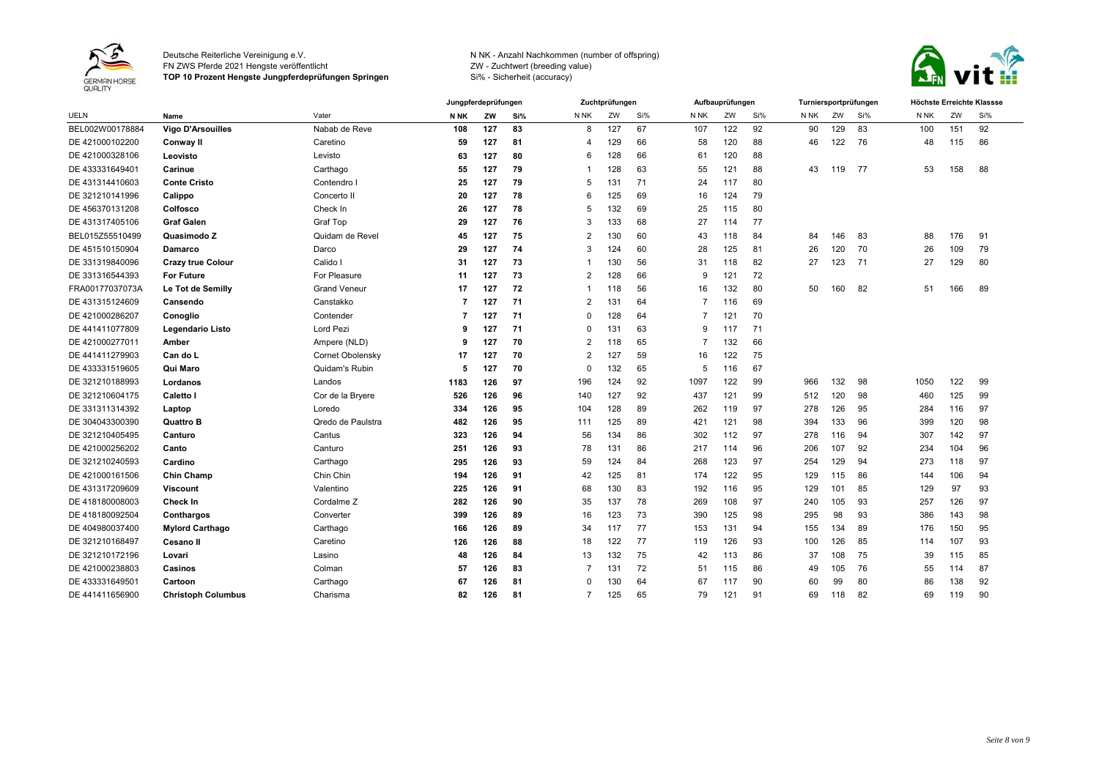

FN ZWS Pferde 2021 Hengste veröffentlicht

**TOP 10 Prozent Hengste Jungpferdeprüfungen Springen**



|                 |                           |                         |             | Jungpferdeprüfungen |     |                | Zuchtprüfungen |     |                 | Aufbauprüfungen |     | Turniersportprüfungen |     |     | Höchste Erreichte Klassse |     |     |
|-----------------|---------------------------|-------------------------|-------------|---------------------|-----|----------------|----------------|-----|-----------------|-----------------|-----|-----------------------|-----|-----|---------------------------|-----|-----|
| <b>UELN</b>     | Name                      | Vater                   | <b>N NK</b> | ZW                  | Si% | N NK           | ZW             | Si% | N <sub>NK</sub> | ZW              | Si% | N NK                  | ZW  | Si% | N NK                      | ZW  | Si% |
| BEL002W00178884 | <b>Vigo D'Arsouilles</b>  | Nabab de Reve           | 108         | 127                 | 83  | 8              | 127            | 67  | 107             | 122             | 92  | 90                    | 129 | 83  | 100                       | 151 | 92  |
| DE 421000102200 | Conway II                 | Caretino                | 59          | 127                 | 81  | 4              | 129            | 66  | 58              | 120             | 88  | 46                    | 122 | 76  | 48                        | 115 | 86  |
| DE 421000328106 | Leovisto                  | Levisto                 | 63          | 127                 | 80  | 6              | 128            | 66  | 61              | 120             | 88  |                       |     |     |                           |     |     |
| DE 433331649401 | Carinue                   | Carthago                | 55          | 127                 | 79  |                | 128            | 63  | 55              | 121             | 88  | 43                    | 119 | 77  | 53                        | 158 | 88  |
| DE 431314410603 | <b>Conte Cristo</b>       | Contendro I             | 25          | 127                 | 79  | 5              | 131            | 71  | 24              | 117             | 80  |                       |     |     |                           |     |     |
| DE 321210141996 | Calippo                   | Concerto II             | 20          | 127                 | 78  | 6              | 125            | 69  | 16              | 124             | 79  |                       |     |     |                           |     |     |
| DE 456370131208 | Colfosco                  | Check In                | 26          | 127                 | 78  | 5              | 132            | 69  | 25              | 115             | 80  |                       |     |     |                           |     |     |
| DE 431317405106 | <b>Graf Galen</b>         | Graf Top                | 29          | 127                 | 76  | 3              | 133            | 68  | 27              | 114             | 77  |                       |     |     |                           |     |     |
| BEL015Z55510499 | Quasimodo Z               | Quidam de Revel         | 45          | 127                 | 75  | $\overline{2}$ | 130            | 60  | 43              | 118             | 84  | 84                    | 146 | 83  | 88                        | 176 | 91  |
| DE 451510150904 | Damarco                   | Darco                   | 29          | 127                 | 74  | 3              | 124            | 60  | 28              | 125             | 81  | 26                    | 120 | 70  | 26                        | 109 | 79  |
| DE 331319840096 | <b>Crazy true Colour</b>  | Calido I                | 31          | 127                 | 73  |                | 130            | 56  | 31              | 118             | 82  | 27                    | 123 | -71 | 27                        | 129 | 80  |
| DE 331316544393 | <b>For Future</b>         | For Pleasure            | 11          | 127                 | 73  | $\overline{2}$ | 128            | 66  | 9               | 121             | 72  |                       |     |     |                           |     |     |
| FRA00177037073A | Le Tot de Semilly         | <b>Grand Veneur</b>     | 17          | 127                 | 72  |                | 118            | 56  | 16              | 132             | 80  | 50                    | 160 | 82  | 51                        | 166 | 89  |
| DE 431315124609 | Cansendo                  | Canstakko               | 7           | 127                 | 71  | $\overline{2}$ | 131            | 64  | 7               | 116             | 69  |                       |     |     |                           |     |     |
| DE 421000286207 | Conoglio                  | Contender               | 7           | 127                 | 71  | $\Omega$       | 128            | 64  | 7               | 121             | 70  |                       |     |     |                           |     |     |
| DE 441411077809 | Legendario Listo          | Lord Pezi               | 9           | 127                 | 71  | $\Omega$       | 131            | 63  | 9               | 117             | 71  |                       |     |     |                           |     |     |
| DE 421000277011 | Amber                     | Ampere (NLD)            | 9           | 127                 | 70  | $\overline{2}$ | 118            | 65  | 7               | 132             | 66  |                       |     |     |                           |     |     |
| DE 441411279903 | Can do L                  | <b>Cornet Obolensky</b> | 17          | 127                 | 70  | $\overline{2}$ | 127            | 59  | 16              | 122             | 75  |                       |     |     |                           |     |     |
| DE 433331519605 | Qui Maro                  | Quidam's Rubin          | 5           | 127                 | 70  | $\Omega$       | 132            | 65  | 5               | 116             | 67  |                       |     |     |                           |     |     |
| DE 321210188993 | Lordanos                  | Landos                  | 1183        | 126                 | 97  | 196            | 124            | 92  | 1097            | 122             | 99  | 966                   | 132 | 98  | 1050                      | 122 | 99  |
| DE 321210604175 | Caletto I                 | Cor de la Bryere        | 526         | 126                 | 96  | 140            | 127            | 92  | 437             | 121             | 99  | 512                   | 120 | 98  | 460                       | 125 | 99  |
| DE 331311314392 | Laptop                    | Loredo                  | 334         | 126                 | 95  | 104            | 128            | 89  | 262             | 119             | 97  | 278                   | 126 | 95  | 284                       | 116 | 97  |
| DE 304043300390 | <b>Quattro B</b>          | Qredo de Paulstra       | 482         | 126                 | 95  | 111            | 125            | 89  | 421             | 121             | 98  | 394                   | 133 | 96  | 399                       | 120 | 98  |
| DE 321210405495 | Canturo                   | Cantus                  | 323         | 126                 | 94  | 56             | 134            | 86  | 302             | 112             | 97  | 278                   | 116 | 94  | 307                       | 142 | 97  |
| DE 421000256202 | Canto                     | Canturo                 | 251         | 126                 | 93  | 78             | 131            | 86  | 217             | 114             | 96  | 206                   | 107 | 92  | 234                       | 104 | 96  |
| DE 321210240593 | Cardino                   | Carthago                | 295         | 126                 | 93  | 59             | 124            | 84  | 268             | 123             | 97  | 254                   | 129 | 94  | 273                       | 118 | 97  |
| DE 421000161506 | Chin Champ                | Chin Chin               | 194         | 126                 | 91  | 42             | 125            | 81  | 174             | 122             | 95  | 129                   | 115 | 86  | 144                       | 106 | 94  |
| DE 431317209609 | <b>Viscount</b>           | Valentino               | 225         | 126                 | 91  | 68             | 130            | 83  | 192             | 116             | 95  | 129                   | 101 | 85  | 129                       | 97  | 93  |
| DE 418180008003 | Check In                  | Cordalme <sub>Z</sub>   | 282         | 126                 | 90  | 35             | 137            | 78  | 269             | 108             | 97  | 240                   | 105 | 93  | 257                       | 126 | 97  |
| DE 418180092504 | Conthargos                | Converter               | 399         | 126                 | 89  | 16             | 123            | 73  | 390             | 125             | 98  | 295                   | 98  | 93  | 386                       | 143 | 98  |
| DE 404980037400 | <b>Mylord Carthago</b>    | Carthago                | 166         | 126                 | 89  | 34             | 117            | 77  | 153             | 131             | 94  | 155                   | 134 | 89  | 176                       | 150 | 95  |
| DE 321210168497 | <b>Cesano II</b>          | Caretino                | 126         | 126                 | 88  | 18             | 122            | 77  | 119             | 126             | 93  | 100                   | 126 | 85  | 114                       | 107 | 93  |
| DE 321210172196 | Lovari                    | Lasino                  | 48          | 126                 | 84  | 13             | 132            | 75  | 42              | 113             | 86  | 37                    | 108 | 75  | 39                        | 115 | 85  |
| DE 421000238803 | Casinos                   | Colman                  | 57          | 126                 | 83  | 7              | 131            | 72  | 51              | 115             | 86  | 49                    | 105 | 76  | 55                        | 114 | 87  |
| DE 433331649501 | Cartoon                   | Carthago                | 67          | 126                 | 81  | $\Omega$       | 130            | 64  | 67              | 117             | 90  | 60                    | 99  | 80  | 86                        | 138 | 92  |
| DE 441411656900 | <b>Christoph Columbus</b> | Charisma                | 82          | 126                 | 81  | $\overline{7}$ | 125            | 65  | 79              | 121             | 91  | 69                    | 118 | 82  | 69                        | 119 | 90  |